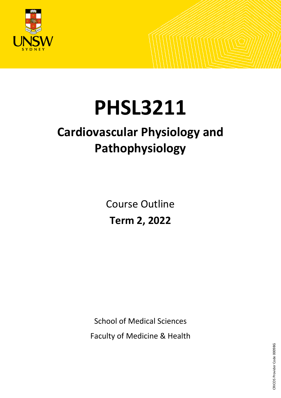

# **PHSL3211**

# **Cardiovascular Physiology and Pathophysiology**

Course Outline **Term 2, 2022**

School of Medical Sciences Faculty of Medicine & Health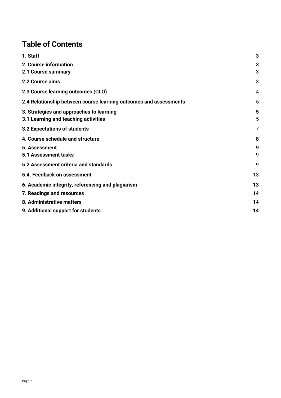# **Table of Contents**

| 1. Staff                                                          | 3  |
|-------------------------------------------------------------------|----|
| 2. Course information                                             | 3  |
| 2.1 Course summary                                                | 3  |
| 2.2 Course aims                                                   | 3  |
| 2.3 Course learning outcomes (CLO)                                | 4  |
| 2.4 Relationship between course learning outcomes and assessments | 5  |
| 3. Strategies and approaches to learning                          | 5  |
| 3.1 Learning and teaching activities                              | 5  |
| 3.2 Expectations of students                                      | 7  |
| 4. Course schedule and structure                                  | 8  |
| 5. Assessment                                                     | 9  |
| 5.1 Assessment tasks                                              | 9  |
| 5.2 Assessment criteria and standards                             | 9  |
| 5.4. Feedback on assessment                                       | 13 |
| 6. Academic integrity, referencing and plagiarism                 | 13 |
| 7. Readings and resources                                         | 14 |
| 8. Administrative matters                                         | 14 |
| 9. Additional support for students                                | 14 |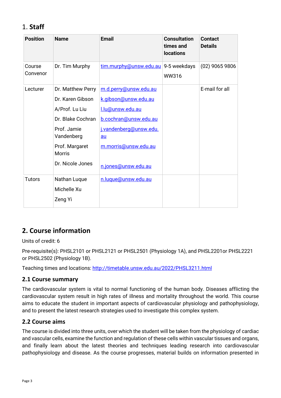# <span id="page-2-0"></span>1. **Staff**

| <b>Position</b>    | <b>Name</b>                                                                                                                                                      | <b>Email</b>                                                                                                                                                              | <b>Consultation</b><br>times and<br><b>locations</b> | <b>Contact</b><br><b>Details</b> |
|--------------------|------------------------------------------------------------------------------------------------------------------------------------------------------------------|---------------------------------------------------------------------------------------------------------------------------------------------------------------------------|------------------------------------------------------|----------------------------------|
| Course<br>Convenor | Dr. Tim Murphy                                                                                                                                                   | tim.murphy@unsw.edu.au                                                                                                                                                    | 9-5 weekdays<br>WW316                                | $(02)$ 9065 9806                 |
| Lecturer           | Dr. Matthew Perry<br>Dr. Karen Gibson<br>A/Prof. Lu Liu<br>Dr. Blake Cochran<br>Prof. Jamie<br>Vandenberg<br>Prof. Margaret<br><b>Morris</b><br>Dr. Nicole Jones | m.d.perry@unsw.edu.au<br>k.gibson@unsw.edu.au<br>l.lu@unsw.edu.au<br>b.cochran@unsw.edu.au<br>j.vandenberg@unsw.edu.<br>au<br>m.morris@unsw.edu.au<br>n.jones@unsw.edu.au |                                                      | E-mail for all                   |
| <b>Tutors</b>      | Nathan Luque<br>Michelle Xu<br>Zeng Yi                                                                                                                           | n.luque@unsw.edu.au                                                                                                                                                       |                                                      |                                  |

# <span id="page-2-1"></span>**2. Course information**

Units of credit: 6

Pre-requisite(s): PHSL2101 or PHSL2121 or PHSL2501 (Physiology 1A), and PHSL2201or PHSL2221 or PHSL2502 (Physiology 1B).

Teaching times and locations: <http://timetable.unsw.edu.au/2022/PHSL3211.html>

#### <span id="page-2-2"></span>**2.1 Course summary**

The cardiovascular system is vital to normal functioning of the human body. Diseases afflicting the cardiovascular system result in high rates of illness and mortality throughout the world. This course aims to educate the student in important aspects of cardiovascular physiology and pathophysiology, and to present the latest research strategies used to investigate this complex system.

#### <span id="page-2-3"></span>**2.2 Course aims**

The course is divided into three units, over which the student will be taken from the physiology of cardiac and vascular cells, examine the function and regulation of these cells within vascular tissues and organs, and finally learn about the latest theories and techniques leading research into cardiovascular pathophysiology and disease. As the course progresses, material builds on information presented in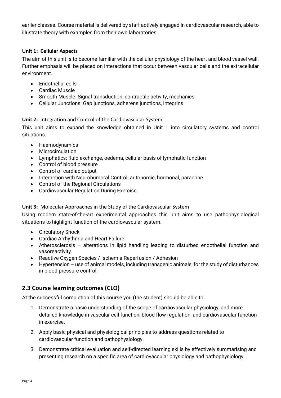earlier classes. Course material is delivered by staff actively engaged in cardiovascular research, able to illustrate theory with examples from their own laboratories.

#### **Unit 1: Cellular Aspects**

The aim of this unit is to become familiar with the cellular physiology of the heart and blood vessel wall. Further emphasis will be placed on interactions that occur between vascular cells and the extracellular environment.

- Endothelial cells
- Cardiac Muscle
- Smooth Muscle: Signal transduction, contractile activity, mechanics.
- Cellular Junctions: Gap junctions, adherens junctions, integrins

#### **Unit 2:** Integration and Control of the Cardiovascular System

This unit aims to expand the knowledge obtained in Unit 1 into circulatory systems and control situations.

- Haemodynamics
- Microcirculation
- Lymphatics: fluid exchange, oedema, cellular basis of lymphatic function
- Control of blood pressure
- Control of cardiac output
- Interaction with Neurohumoral Control: autonomic, hormonal, paracrine
- Control of the Regional Circulations
- Cardiovascular Regulation During Exercise

#### **Unit 3:** Molecular Approaches in the Study of the Cardiovascular System

Using modern state-of-the-art experimental approaches this unit aims to use pathophysiological situations to highlight function of the cardiovascular system.

- Circulatory Shock
- Cardiac Arrhythmia and Heart Failure
- Atherosclerosis alterations in lipid handling leading to disturbed endothelial function and vasoreactivity.
- Reactive Oxygen Species / Ischemia Reperfusion / Adhesion
- Hypertension use of animal models, including transgenic animals, for the study of disturbances in blood pressure control.

#### <span id="page-3-0"></span>**2.3 Course learning outcomes (CLO)**

At the successful completion of this course you (the student) should be able to:

- 1. Demonstrate a basic understanding of the scope of cardiovascular physiology, and more detailed knowledge in vascular cell function, blood flow regulation, and cardiovascular function in exercise.
- 2. Apply basic physical and physiological principles to address questions related to cardiovascular function and pathophysiology.
- 3. Demonstrate critical evaluation and self-directed learning skills by effectively summarising and presenting research on a specific area of cardiovascular physiology and pathophysiology.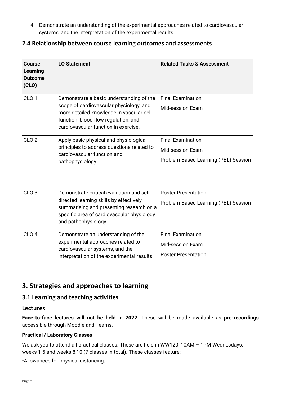4. Demonstrate an understanding of the experimental approaches related to cardiovascular systems, and the interpretation of the experimental results.

#### <span id="page-4-0"></span>**2.4 Relationship between course learning outcomes and assessments**

| <b>Course</b><br>Learning<br><b>Outcome</b><br>(CLO) | <b>LO Statement</b>                                                                                                                                                                                             | <b>Related Tasks &amp; Assessment</b>                                                       |
|------------------------------------------------------|-----------------------------------------------------------------------------------------------------------------------------------------------------------------------------------------------------------------|---------------------------------------------------------------------------------------------|
| CLO <sub>1</sub>                                     | Demonstrate a basic understanding of the<br>scope of cardiovascular physiology, and<br>more detailed knowledge in vascular cell<br>function, blood flow regulation, and<br>cardiovascular function in exercise. | <b>Final Examination</b><br><b>Mid-session Exam</b>                                         |
| CLO <sub>2</sub>                                     | Apply basic physical and physiological<br>principles to address questions related to<br>cardiovascular function and<br>pathophysiology.                                                                         | <b>Final Examination</b><br><b>Mid-session Exam</b><br>Problem-Based Learning (PBL) Session |
| CLO <sub>3</sub>                                     | Demonstrate critical evaluation and self-<br>directed learning skills by effectively<br>summarising and presenting research on a<br>specific area of cardiovascular physiology<br>and pathophysiology.          | <b>Poster Presentation</b><br>Problem-Based Learning (PBL) Session                          |
| CLO <sub>4</sub>                                     | Demonstrate an understanding of the<br>experimental approaches related to<br>cardiovascular systems, and the<br>interpretation of the experimental results.                                                     | <b>Final Examination</b><br><b>Mid-session Exam</b><br><b>Poster Presentation</b>           |

# <span id="page-4-1"></span>**3. Strategies and approaches to learning**

#### <span id="page-4-2"></span>**3.1 Learning and teaching activities**

#### **Lectures**

**Face-to-face lectures will not be held in 2022.** These will be made available as **pre-recordings**  accessible through Moodle and Teams.

#### **Practical / Laboratory Classes**

We ask you to attend all practical classes. These are held in WW120, 10AM - 1PM Wednesdays, weeks 1-5 and weeks 8,10 (7 classes in total). These classes feature:

•Allowances for physical distancing.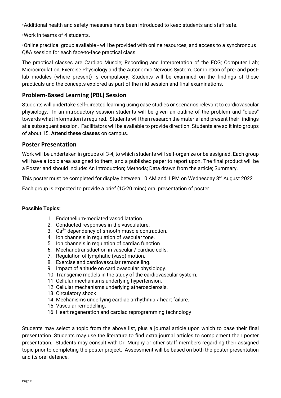•Additional health and safety measures have been introduced to keep students and staff safe.

•Work in teams of 4 students.

•Online practical group available - will be provided with online resources, and access to a synchronous Q&A session for each face-to-face practical class.

The practical classes are Cardiac Muscle; Recording and Interpretation of the ECG; Computer Lab; Microcirculation; Exercise Physiology and the Autonomic Nervous System. Completion of pre- and postlab modules (where present) is compulsory. Students will be examined on the findings of these practicals and the concepts explored as part of the mid-session and final examinations.

# **Problem-Based Learning (PBL) Session**

Students will undertake self-directed learning using case studies or scenarios relevant to cardiovascular physiology. In an introductory session students will be given an outline of the problem and "clues" towards what information is required. Students will then research the material and present their findings at a subsequent session. Facilitators will be available to provide direction. Students are split into groups of about 15. **Attend these classes** on campus.

# **Poster Presentation**

Work will be undertaken in groups of 3-4, to which students will self-organize or be assigned. Each group will have a topic area assigned to them, and a published paper to report upon. The final product will be a Poster and should include: An Introduction; Methods; Data drawn from the article; Summary.

This poster must be completed for display between 10 AM and 1 PM on Wednesday 3rd August 2022.

Each group is expected to provide a brief (15-20 mins) oral presentation of poster.

#### **Possible Topics:**

- 1. Endothelium-mediated vasodilatation.
- 2. Conducted responses in the vasculature.
- 3.  $Ca<sup>2+</sup>$ -dependency of smooth muscle contraction.
- 4. Ion channels in regulation of vascular tone.
- 5. Ion channels in regulation of cardiac function.
- 6. Mechanotransduction in vascular / cardiac cells.
- 7. Regulation of lymphatic (vaso) motion.
- 8. Exercise and cardiovascular remodelling.
- 9. Impact of altitude on cardiovascular physiology.
- 10. Transgenic models in the study of the cardiovascular system.
- 11. Cellular mechanisms underlying hypertension.
- 12. Cellular mechanisms underlying atherosclerosis.
- 13. Circulatory shock
- 14. Mechanisms underlying cardiac arrhythmia / heart failure.
- 15. Vascular remodelling.
- 16. Heart regeneration and cardiac reprogramming technology

Students may select a topic from the above list, plus a journal article upon which to base their final presentation. Students may use the literature to find extra journal articles to complement their poster presentation. Students may consult with Dr. Murphy or other staff members regarding their assigned topic prior to completing the poster project. Assessment will be based on both the poster presentation and its oral defence.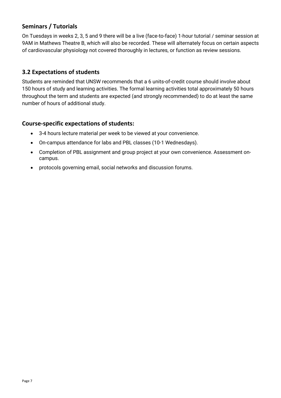# **Seminars / Tutorials**

On Tuesdays in weeks 2, 3, 5 and 9 there will be a live (face-to-face) 1-hour tutorial / seminar session at 9AM in Mathews Theatre B, which will also be recorded. These will alternately focus on certain aspects of cardiovascular physiology not covered thoroughly in lectures, or function as review sessions.

#### <span id="page-6-0"></span>**3.2 Expectations of students**

Students are reminded that UNSW recommends that a 6 units-of-credit course should involve about 150 hours of study and learning activities. The formal learning activities total approximately 50 hours throughout the term and students are expected (and strongly recommended) to do at least the same number of hours of additional study.

#### **Course-specific expectations of students:**

- 3-4 hours lecture material per week to be viewed at your convenience.
- On-campus attendance for labs and PBL classes (10-1 Wednesdays).
- Completion of PBL assignment and group project at your own convenience. Assessment oncampus.
- protocols governing email, social networks and discussion forums.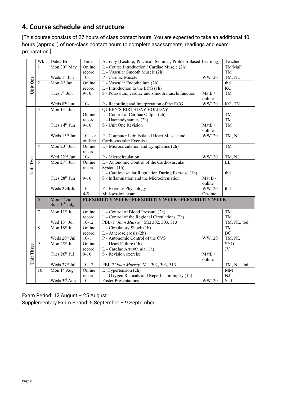# <span id="page-7-0"></span>**4. Course schedule and structure**

[This course consists of 27 hours of class contact hours. You are expected to take an additional 40 hours (approx..) of non-class contact hours to complete assessments, readings and exam preparation.]

|            | Wk                      | Date / Hrs                                                                          | Time      | Activity (Lecture, Practical, Seminar, Problem Based Learning) | Teacher        |             |
|------------|-------------------------|-------------------------------------------------------------------------------------|-----------|----------------------------------------------------------------|----------------|-------------|
|            | 1                       | Mon 30 <sup>th</sup> May<br>Online<br>L - Course Introduction / Cardiac Muscle (2h) |           |                                                                | TM/MaP         |             |
|            |                         |                                                                                     | record    | L - Vascular Smooth Muscle (2h)                                |                | TM          |
|            |                         | Weds 1st Jun                                                                        | $10 - 1$  | P - Cardiac Muscle                                             | WW120          | TM, NL      |
| Unit One   | $\overline{2}$          | Mon $6th$ Jun                                                                       | Online    | L - Vascular Endothelium (2h)                                  |                | tbd         |
|            |                         |                                                                                     | record    | L - Introduction to the ECG (1h)                               |                | KG          |
|            |                         | Tues 7 <sup>th</sup> Jun                                                            | $9 - 10$  | S - Potassium, cardiac and smooth muscle function.             | MatB/          | TM          |
|            |                         |                                                                                     |           |                                                                | online         |             |
|            |                         | Weds 8 <sup>th</sup> Jun                                                            | $10-1$    | P - Recording and Interpretation of the ECG                    | WW120          | KG, TM      |
|            | $\overline{\mathbf{3}}$ | Mon 13 <sup>th</sup> Jun                                                            |           | <b>QUEEN'S BIRTHDAY HOLIDAY</b>                                |                |             |
|            |                         |                                                                                     | Online    | L - Control of Cardiac Output (2h)                             |                | TM          |
|            |                         |                                                                                     | record    | L - Haemodynamics (2h)                                         |                | <b>TM</b>   |
|            |                         | Tues 14 <sup>th</sup> Jun                                                           | $9-10$    | S - Unit One Revision                                          | MatB/          | TM          |
|            |                         |                                                                                     |           |                                                                | online         |             |
|            |                         | Weds 15 <sup>th</sup> Jun                                                           | $10-1$ or | P - Computer Lab: Isolated Heart Muscle and                    | WW120          | TM, NL      |
|            |                         |                                                                                     | on-line   | Cardiovascular Exercises                                       |                |             |
|            | $\overline{4}$          | Mon 20 <sup>th</sup> Jun                                                            | Online    | L - Microcirculation and Lymphatics (2h)                       |                | TM          |
|            |                         |                                                                                     | record    |                                                                |                |             |
|            |                         | Wed 22 <sup>nd</sup> Jun                                                            | $10 - 1$  | P - Microcirculation                                           | WW120          | TM, NL      |
| Unit Two   | 5                       | Mon 27 <sup>th</sup> Jun                                                            | Online    | L - Autonomic Control of the Cardiovascular                    |                | LL          |
|            |                         |                                                                                     | record    | System (1h)                                                    |                |             |
|            |                         |                                                                                     |           | L - Cardiovascular Regulation During Exercise (1h)             |                | tbd         |
|            |                         | Tues 28 <sup>th</sup> Jun                                                           | $9-10$    | S - Inflammation and the Microcirculation                      | Mat B $\prime$ |             |
|            |                         |                                                                                     |           |                                                                | online         |             |
|            |                         | Weds 29th Jun                                                                       | $10-1$    | P - Exercise Physiology                                        | WW120          | tbd         |
|            |                         |                                                                                     | $4 - 5$   | Mid-session exam                                               | On-line        |             |
|            | 6                       | Mon 4 <sup>th</sup> Jul -                                                           |           | FLEXIBILITY WEEK - FLEXIBILITY WEEK - FLEXIBILITY WEEK         |                |             |
|            |                         | Sun 10 <sup>th</sup> July                                                           |           |                                                                |                |             |
|            | 7                       | Mon 11 <sup>th</sup> Jul                                                            | Online    | L - Control of Blood Pressure (2h)                             |                | TM          |
|            |                         |                                                                                     | record    | L - Control of the Regional Circulations (2h)                  |                | TM          |
|            |                         | Wed 13th Jul                                                                        | $10 - 12$ | PBL-1 'Joan Murray' Mat 302, 303, 313                          |                | TM, NL, tbd |
|            | $\,8\,$                 | Mon 18 <sup>th</sup> Jul                                                            | Online    | L - Circulatory Shock (1h)                                     |                | TM          |
|            |                         |                                                                                     | record    | L - Atherosclerosis (2h)                                       |                | BC          |
|            |                         | Weds $20^{\rm th}$ Jul                                                              | $10 - 1$  | P - Autonomic Control of the CVS                               | WW120          | TM, NL      |
|            | $\overline{9}$          | Mon 25 <sup>th</sup> Jul                                                            | Online    | L - Heart Failure (1h)                                         |                | SYO         |
|            |                         |                                                                                     | record    | L - Cardiac Arrhythmia (1h)                                    |                | $\rm{JV}$   |
|            |                         | Tues 26th Jul                                                                       | $9 - 10$  | S - Revision exercise                                          | MatB/          |             |
| Unit Three |                         |                                                                                     |           |                                                                | online         |             |
|            |                         | Weds 27 <sup>th</sup> Jul                                                           | $10 - 12$ | PBL-2 'Joan Murray' Mat 302, 303, 313                          |                | TM, NL. tbd |
|            | 10                      | Mon 1 <sup>st</sup> Aug                                                             | Online    | L Hypertension (2h)                                            |                | MM          |
|            |                         |                                                                                     | record    | L - Oxygen Radicals and Reperfusion Injury (1h)                |                | NJ          |
|            |                         | Weds 3rd Aug                                                                        | $10-1$    | <b>Poster Presentations</b>                                    | WW120          | Staff       |

Exam Period: 12 August – 25 August Supplementary Exam Period: 5 September – 9 September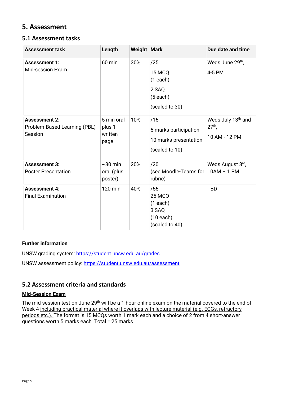# <span id="page-8-0"></span>**5. Assessment**

#### <span id="page-8-1"></span>**5.1 Assessment tasks**

| <b>Assessment task</b>                                          | Length                                  | Weight   Mark |                                                                         | Due date and time                                           |
|-----------------------------------------------------------------|-----------------------------------------|---------------|-------------------------------------------------------------------------|-------------------------------------------------------------|
| <b>Assessment 1:</b><br><b>Mid-session Exam</b>                 | 60 min                                  | 30%           | /25<br>15 MCQ<br>(1 each)<br>2 SAQ<br>$(5$ each)<br>(scaled to 30)      | Weds June 29 <sup>th</sup> ,<br>4-5 PM                      |
| <b>Assessment 2:</b><br>Problem-Based Learning (PBL)<br>Session | 5 min oral<br>plus 1<br>written<br>page | 10%           | /15<br>5 marks participation<br>10 marks presentation<br>(scaled to 10) | Weds July 13 <sup>th</sup> and<br>$27th$ ,<br>10 AM - 12 PM |
| <b>Assessment 3:</b><br><b>Poster Presentation</b>              | $\sim$ 30 min<br>oral (plus<br>poster)  | 20%           | /20<br>(see Moodle-Teams for   10AM - 1 PM<br>rubric)                   | Weds August 3rd,                                            |
| <b>Assessment 4:</b><br><b>Final Examination</b>                | 120 min                                 | 40%           | /55<br>25 MCQ<br>(1 each)<br>3 SAQ<br>$(10$ each)<br>(scaled to 40)     | <b>TBD</b>                                                  |

#### **Further information**

UNSW grading system:<https://student.unsw.edu.au/grades>

UNSW assessment policy:<https://student.unsw.edu.au/assessment>

#### <span id="page-8-2"></span>**5.2 Assessment criteria and standards**

#### **Mid-Session Exam**

The mid-session test on June 29<sup>th</sup> will be a 1-hour online exam on the material covered to the end of Week 4 including practical material where it overlaps with lecture material (e.g. ECGs, refractory periods etc.). The format is 15 MCQs worth 1 mark each and a choice of 2 from 4 short-answer questions worth 5 marks each. Total = 25 marks.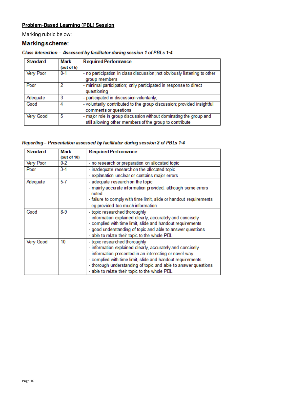# **Problem-Based Learning (PBL) Session**

Marking rubric below:

#### Markingscheme:

| <b>Standard</b> | Mark          | <b>Required Performance</b>                                                                                                  |
|-----------------|---------------|------------------------------------------------------------------------------------------------------------------------------|
|                 | (out of $5$ ) |                                                                                                                              |
| Very Poor       | $0 - 1$       | - no participation in class discussion; not obviously listening to other<br>group members                                    |
| Poor            |               | - minimal participation; only participated in response to direct<br>questioning                                              |
| Adequate        | 3             | - participated in discussion voluntarily;                                                                                    |
| Good            | 4             | - voluntarily contributed to the group discussion; provided insightful<br>comments or questions                              |
| Very Good       | 5             | - major role in group discussion without dominating the group and<br>still allowing other members of the group to contribute |

#### Class Interaction - Assessed by facilitator during session 1 of PBLs 1-4

#### Reporting-Presentation assessed by facilitator during session 2 of PBLs 1-4

| <b>Standard</b> | <b>Mark</b> | <b>Required Performance</b>                                           |
|-----------------|-------------|-----------------------------------------------------------------------|
|                 | (out of 10) |                                                                       |
| Very Poor       | $0 - 2$     | - no research or preparation on allocated topic                       |
| Poor            | $3-4$       | - inadequate research on the allocated topic                          |
|                 |             | - explanation unclear or contains major errors                        |
| Adequate        | $5 - 7$     | - adequate research on the topic                                      |
|                 |             | - mainly accurate information provided, although some errors<br>noted |
|                 |             | - failure to comply with time limit, slide or handout requirements    |
|                 |             | eg provided too much information                                      |
| Good            | $8-9$       | - topic researched thoroughly                                         |
|                 |             | - information explained clearly, accurately and concisely             |
|                 |             | - complied with time limit, slide and handout requirements            |
|                 |             | - good understanding of topic and able to answer questions            |
|                 |             | - able to relate their topic to the whole PBL                         |
| Very Good       | 10          | - topic researched thoroughly                                         |
|                 |             | - information explained clearly, accurately and concisely             |
|                 |             | - information presented in an interesting or novel way                |
|                 |             | - complied with time limit, slide and handout requirements            |
|                 |             | - thorough understanding of topic and able to answer questions        |
|                 |             | - able to relate their topic to the whole PBL                         |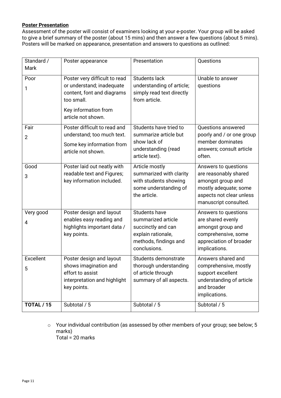#### **Poster Presentation**

Assessment of the poster will consist of examiners looking at your e-poster. Your group will be asked to give a brief summary of the poster (about 15 mins) and then answer a few questions (about 5 mins). Posters will be marked on appearance, presentation and answers to questions as outlined:

| Standard /<br>Mark     | Poster appearance                                                                                                                                    | Presentation                                                                                                                    | Questions                                                                                                                                        |
|------------------------|------------------------------------------------------------------------------------------------------------------------------------------------------|---------------------------------------------------------------------------------------------------------------------------------|--------------------------------------------------------------------------------------------------------------------------------------------------|
| Poor<br>1              | Poster very difficult to read<br>or understand; inadequate<br>content, font and diagrams<br>too small.<br>Key information from<br>article not shown. | <b>Students lack</b><br>understanding of article;<br>simply read text directly<br>from article.                                 | Unable to answer<br>questions                                                                                                                    |
| Fair<br>$\overline{2}$ | Poster difficult to read and<br>understand; too much text.<br>Some key information from<br>article not shown.                                        | Students have tried to<br>summarize article but<br>show lack of<br>understanding (read<br>article text).                        | Questions answered<br>poorly and / or one group<br>member dominates<br>answers; consult article<br>often.                                        |
| Good<br>3              | Poster laid out neatly with<br>readable text and Figures;<br>key information included.                                                               | Article mostly<br>summarized with clarity<br>with students showing<br>some understanding of<br>the article.                     | Answers to questions<br>are reasonably shared<br>amongst group and<br>mostly adequate; some<br>aspects not clear unless<br>manuscript consulted. |
| Very good<br>4         | Poster design and layout<br>enables easy reading and<br>highlights important data /<br>key points.                                                   | <b>Students have</b><br>summarized article<br>succinctly and can<br>explain rationale,<br>methods, findings and<br>conclusions. | Answers to questions<br>are shared evenly<br>amongst group and<br>comprehensive, some<br>appreciation of broader<br>implications.                |
| Excellent<br>5         | Poster design and layout<br>shows imagination and<br>effort to assist<br>interpretation and highlight<br>key points.                                 | Students demonstrate<br>thorough understanding<br>of article through<br>summary of all aspects.                                 | Answers shared and<br>comprehensive, mostly<br>support excellent<br>understanding of article<br>and broader<br>implications.                     |
| <b>TOTAL / 15</b>      | Subtotal / 5                                                                                                                                         | Subtotal / 5                                                                                                                    | Subtotal / 5                                                                                                                                     |

o Your individual contribution (as assessed by other members of your group; see below; 5 marks) Total =  $20$  marks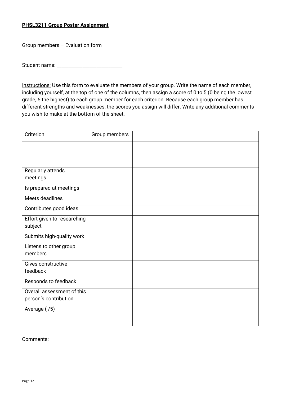#### **PHSL3211 Group Poster Assignment**

Group members – Evaluation form

Student name:

Instructions: Use this form to evaluate the members of your group. Write the name of each member, including yourself, at the top of one of the columns, then assign a score of 0 to 5 (0 being the lowest grade, 5 the highest) to each group member for each criterion. Because each group member has different strengths and weaknesses, the scores you assign will differ. Write any additional comments you wish to make at the bottom of the sheet.

| Criterion                   | Group members |  |  |
|-----------------------------|---------------|--|--|
|                             |               |  |  |
|                             |               |  |  |
|                             |               |  |  |
| Regularly attends           |               |  |  |
| meetings                    |               |  |  |
| Is prepared at meetings     |               |  |  |
| Meets deadlines             |               |  |  |
| Contributes good ideas      |               |  |  |
| Effort given to researching |               |  |  |
| subject                     |               |  |  |
| Submits high-quality work   |               |  |  |
| Listens to other group      |               |  |  |
| members                     |               |  |  |
| Gives constructive          |               |  |  |
| feedback                    |               |  |  |
| Responds to feedback        |               |  |  |
| Overall assessment of this  |               |  |  |
| person's contribution       |               |  |  |
| Average (/5)                |               |  |  |
|                             |               |  |  |
|                             |               |  |  |

#### Comments: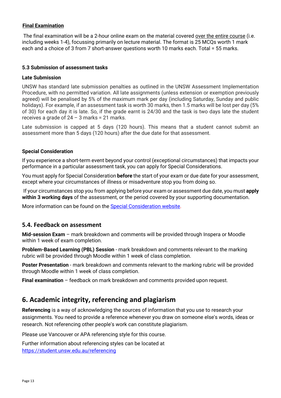#### **Final Examination**

The final examination will be a 2-hour online exam on the material covered over the entire course (i.e. including weeks 1-4), focussing primarily on lecture material. The format is 25 MCQs worth 1 mark each and a choice of 3 from 7 short-answer questions worth 10 marks each. Total = 55 marks.

#### **5.3 Submission of assessment tasks**

#### **Late Submission**

UNSW has standard late submission penalties as outlined in the UNSW Assessment Implementation Procedure, with no permitted variation. All late assignments (unless extension or exemption previously agreed) will be penalised by 5% of the maximum mark per day (including Saturday, Sunday and public holidays). For example, if an assessment task is worth 30 marks, then 1.5 marks will be lost per day (5% of 30) for each day it is late. So, if the grade earnt is 24/30 and the task is two days late the student receives a grade of  $24 - 3$  marks = 21 marks.

Late submission is capped at 5 days (120 hours). This means that a student cannot submit an assessment more than 5 days (120 hours) after the due date for that assessment.

#### **Special Consideration**

If you experience a short-term event beyond your control (exceptional circumstances) that impacts your performance in a particular assessment task, you can apply for Special Considerations.

You must apply for Special Consideration **before** the start of your exam or due date for your assessment, except where your circumstances of illness or misadventure stop you from doing so.

If your circumstances stop you from applying before your exam or assessment due date, you must **apply within 3 working days** of the assessment, or the period covered by your supporting documentation.

More information can be found on the [Special Consideration website.](https://www.student.unsw.edu.au/special-consideration)

#### <span id="page-12-0"></span>**5.4. Feedback on assessment**

**Mid-session Exam** – mark breakdown and comments will be provided through Inspera or Moodle within 1 week of exam completion.

**Problem-Based Learning (PBL) Session** - mark breakdown and comments relevant to the marking rubric will be provided through Moodle within 1 week of class completion.

**Poster Presentation** - mark breakdown and comments relevant to the marking rubric will be provided through Moodle within 1 week of class completion.

**Final examination** – feedback on mark breakdown and comments provided upon request.

# <span id="page-12-1"></span>**6. Academic integrity, referencing and plagiarism**

**Referencing** is a way of acknowledging the sources of information that you use to research your assignments. You need to provide a reference whenever you draw on someone else's words, ideas or research. Not referencing other people's work can constitute plagiarism.

Please use Vancouver or APA referencing style for this course.

Further information about referencing styles can be located at <https://student.unsw.edu.au/referencing>